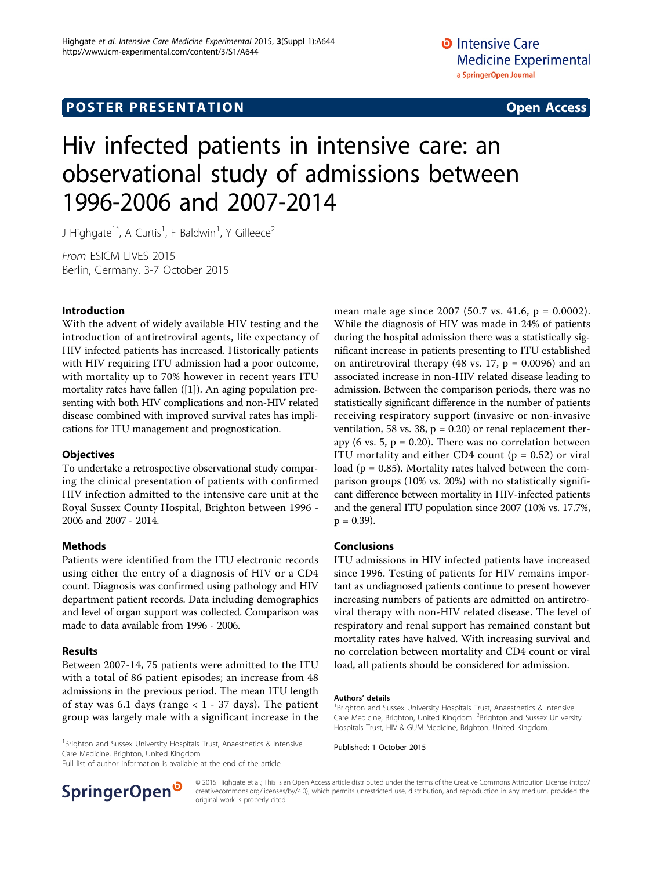# Hiv infected patients in intensive care: an observational study of admissions between 1996-2006 and 2007-2014

J Highgate<sup>1\*</sup>, A Curtis<sup>1</sup>, F Baldwin<sup>1</sup>, Y Gilleece<sup>2</sup>

From ESICM LIVES 2015 Berlin, Germany. 3-7 October 2015

#### Introduction

With the advent of widely available HIV testing and the introduction of antiretroviral agents, life expectancy of HIV infected patients has increased. Historically patients with HIV requiring ITU admission had a poor outcome, with mortality up to 70% however in recent years ITU mortality rates have fallen ([\[1](#page-1-0)]). An aging population presenting with both HIV complications and non-HIV related disease combined with improved survival rates has implications for ITU management and prognostication.

#### **Objectives**

To undertake a retrospective observational study comparing the clinical presentation of patients with confirmed HIV infection admitted to the intensive care unit at the Royal Sussex County Hospital, Brighton between 1996 - 2006 and 2007 - 2014.

### Methods

Patients were identified from the ITU electronic records using either the entry of a diagnosis of HIV or a CD4 count. Diagnosis was confirmed using pathology and HIV department patient records. Data including demographics and level of organ support was collected. Comparison was made to data available from 1996 - 2006.

### Results

Between 2007-14, 75 patients were admitted to the ITU with a total of 86 patient episodes; an increase from 48 admissions in the previous period. The mean ITU length of stay was 6.1 days (range  $<$  1 - 37 days). The patient group was largely male with a significant increase in the mean male age since 2007 (50.7 vs. 41.6, p = 0.0002). While the diagnosis of HIV was made in 24% of patients during the hospital admission there was a statistically significant increase in patients presenting to ITU established on antiretroviral therapy (48 vs. 17,  $p = 0.0096$ ) and an associated increase in non-HIV related disease leading to admission. Between the comparison periods, there was no statistically significant difference in the number of patients receiving respiratory support (invasive or non-invasive ventilation, 58 vs. 38,  $p = 0.20$  or renal replacement therapy (6 vs. 5,  $p = 0.20$ ). There was no correlation between ITU mortality and either CD4 count ( $p = 0.52$ ) or viral load ( $p = 0.85$ ). Mortality rates halved between the comparison groups (10% vs. 20%) with no statistically significant difference between mortality in HIV-infected patients and the general ITU population since 2007 (10% vs. 17.7%,  $p = 0.39$ ).

#### Conclusions

ITU admissions in HIV infected patients have increased since 1996. Testing of patients for HIV remains important as undiagnosed patients continue to present however increasing numbers of patients are admitted on antiretroviral therapy with non-HIV related disease. The level of respiratory and renal support has remained constant but mortality rates have halved. With increasing survival and no correlation between mortality and CD4 count or viral load, all patients should be considered for admission.

#### Authors' details <sup>1</sup>

<sup>1</sup>Brighton and Sussex University Hospitals Trust, Anaesthetics & Intensive<br> **Brighton and Sussex University Hospitals Trust, Anaesthetics & Intensive** Care Medicine, Brighton, United Kingdom

Full list of author information is available at the end of the article



© 2015 Highgate et al.; This is an Open Access article distributed under the terms of the Creative Commons Attribution License [\(http://](http://creativecommons.org/licenses/by/4.0) [creativecommons.org/licenses/by/4.0](http://creativecommons.org/licenses/by/4.0)), which permits unrestricted use, distribution, and reproduction in any medium, provided the original work is properly cited.

<sup>&</sup>lt;sup>1</sup>Brighton and Sussex University Hospitals Trust, Anaesthetics & Intensive Care Medicine, Brighton, United Kingdom. <sup>2</sup> Brighton and Sussex University Hospitals Trust, HIV & GUM Medicine, Brighton, United Kingdom.